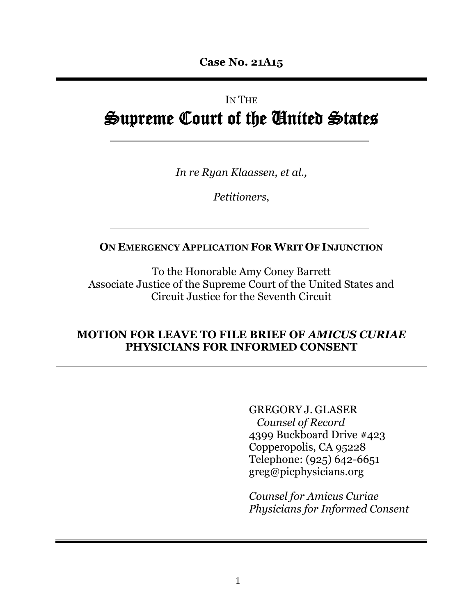# IN THE Supreme Court of the United States

*In re Ryan Klaassen, et al.,*

*Petitioners*,

#### **ON EMERGENCY APPLICATION FOR WRIT OF INJUNCTION**

To the Honorable Amy Coney Barrett Associate Justice of the Supreme Court of the United States and Circuit Justice for the Seventh Circuit

#### **MOTION FOR LEAVE TO FILE BRIEF OF** *AMICUS CURIAE* **PHYSICIANS FOR INFORMED CONSENT**

GREGORY J. GLASER *Counsel of Record* 4399 Buckboard Drive #423 Copperopolis, CA 95228 Telephone: (925) 642-6651 greg@picphysicians.org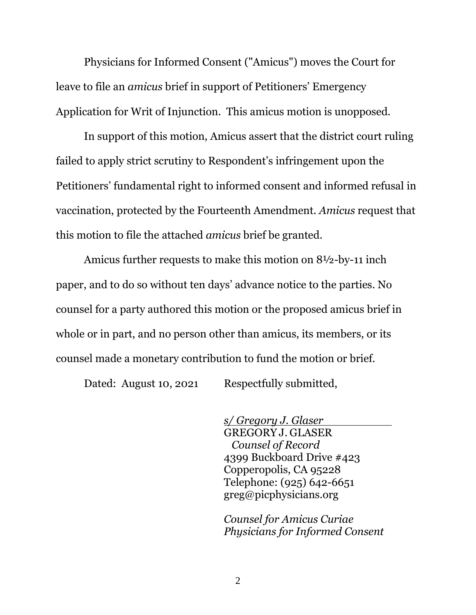Physicians for Informed Consent ("Amicus") moves the Court for leave to file an *amicus* brief in support of Petitioners' Emergency Application for Writ of Injunction. This amicus motion is unopposed.

In support of this motion, Amicus assert that the district court ruling failed to apply strict scrutiny to Respondent's infringement upon the Petitioners' fundamental right to informed consent and informed refusal in vaccination, protected by the Fourteenth Amendment. *Amicus* request that this motion to file the attached *amicus* brief be granted.

Amicus further requests to make this motion on 8½-by-11 inch paper, and to do so without ten days' advance notice to the parties. No counsel for a party authored this motion or the proposed amicus brief in whole or in part, and no person other than amicus, its members, or its counsel made a monetary contribution to fund the motion or brief.

Dated: August 10, 2021 Respectfully submitted,

*s/ Gregory J. Glaser* GREGORY J. GLASER *Counsel of Record* 4399 Buckboard Drive #423 Copperopolis, CA 95228 Telephone: (925) 642-6651 greg@picphysicians.org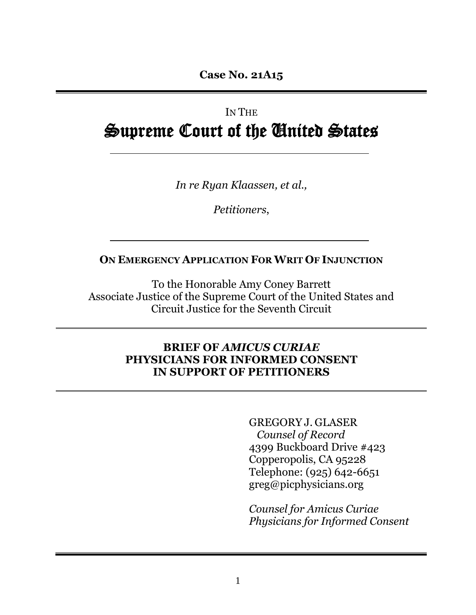## IN THE Supreme Court of the United States

*In re Ryan Klaassen, et al.,*

*Petitioners*,

#### **ON EMERGENCY APPLICATION FOR WRIT OF INJUNCTION**

To the Honorable Amy Coney Barrett Associate Justice of the Supreme Court of the United States and Circuit Justice for the Seventh Circuit

#### **BRIEF OF** *AMICUS CURIAE*  **PHYSICIANS FOR INFORMED CONSENT IN SUPPORT OF PETITIONERS**

GREGORY J. GLASER *Counsel of Record* 4399 Buckboard Drive #423 Copperopolis, CA 95228 Telephone: (925) 642-6651 greg@picphysicians.org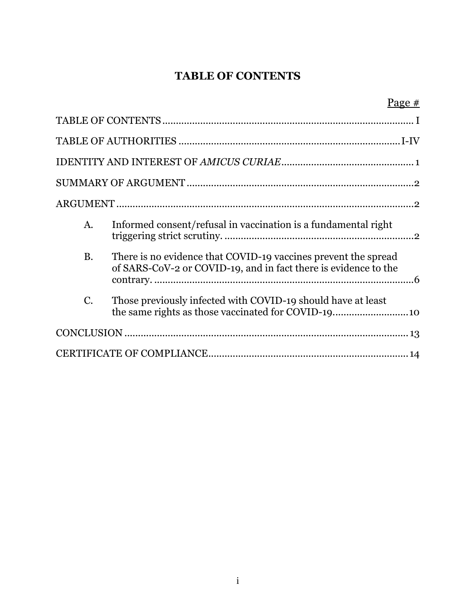#### **TABLE OF CONTENTS**

<span id="page-3-0"></span>

|             | <u>Page <math>#</math></u>                                                                                                        |
|-------------|-----------------------------------------------------------------------------------------------------------------------------------|
|             |                                                                                                                                   |
|             |                                                                                                                                   |
|             |                                                                                                                                   |
|             |                                                                                                                                   |
|             |                                                                                                                                   |
| A.          | Informed consent/refusal in vaccination is a fundamental right                                                                    |
| <b>B.</b>   | There is no evidence that COVID-19 vaccines prevent the spread<br>of SARS-CoV-2 or COVID-19, and in fact there is evidence to the |
| $C_{\cdot}$ | Those previously infected with COVID-19 should have at least                                                                      |
|             |                                                                                                                                   |
|             |                                                                                                                                   |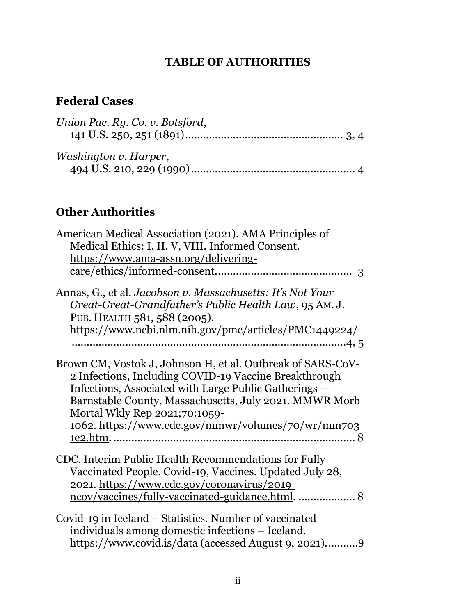#### **TABLE OF AUTHORITIES**

## <span id="page-4-0"></span>**Federal Cases**

| Union Pac. Ry. Co. v. Botsford, |  |
|---------------------------------|--|
| Washington v. Harper,           |  |

## **Other Authorities**

| American Medical Association (2021). AMA Principles of<br>Medical Ethics: I, II, V, VIII. Informed Consent.<br>https://www.ama-assn.org/delivering-                                                                                                                                                                                             |
|-------------------------------------------------------------------------------------------------------------------------------------------------------------------------------------------------------------------------------------------------------------------------------------------------------------------------------------------------|
| Annas, G., et al. Jacobson v. Massachusetts: It's Not Your                                                                                                                                                                                                                                                                                      |
| Great-Great-Grandfather's Public Health Law, 95 AM.J.                                                                                                                                                                                                                                                                                           |
| PUB. HEALTH 581, 588 (2005).                                                                                                                                                                                                                                                                                                                    |
| https://www.ncbi.nlm.nih.gov/pmc/articles/PMC1449224/                                                                                                                                                                                                                                                                                           |
| 4, 5                                                                                                                                                                                                                                                                                                                                            |
| Brown CM, Vostok J, Johnson H, et al. Outbreak of SARS-CoV-<br>2 Infections, Including COVID-19 Vaccine Breakthrough<br>Infections, Associated with Large Public Gatherings —<br>Barnstable County, Massachusetts, July 2021. MMWR Morb<br>Mortal Wkly Rep 2021;70:1059-<br>1062. https://www.cdc.gov/mmwr/volumes/70/wr/mm703<br>1e2.htm.<br>8 |
| CDC. Interim Public Health Recommendations for Fully<br>Vaccinated People. Covid-19, Vaccines. Updated July 28,<br>2021. https://www.cdc.gov/coronavirus/2019-<br>ncov/vaccines/fully-vaccinated-guidance.html.  8                                                                                                                              |
| Covid-19 in Iceland – Statistics. Number of vaccinated<br>individuals among domestic infections – Iceland.<br>https://www.covid.is/data (accessed August 9, 2021)9                                                                                                                                                                              |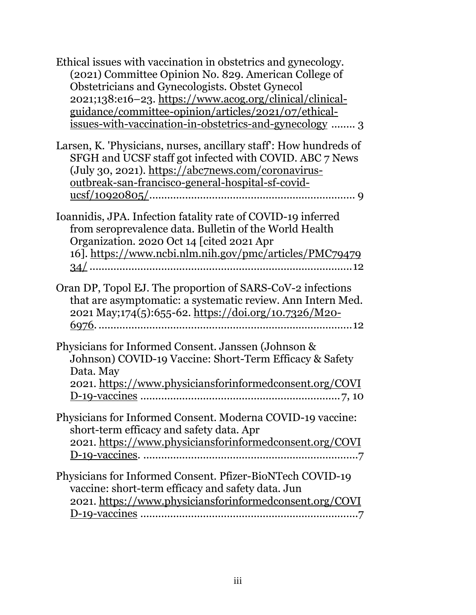| Ethical issues with vaccination in obstetrics and gynecology.<br>(2021) Committee Opinion No. 829. American College of<br>Obstetricians and Gynecologists. Obstet Gynecol<br>2021;138:e16-23. https://www.acog.org/clinical/clinical-<br>guidance/committee-opinion/articles/2021/07/ethical-<br><u>issues-with-vaccination-in-obstetrics-and-gynecology</u> 3 |
|----------------------------------------------------------------------------------------------------------------------------------------------------------------------------------------------------------------------------------------------------------------------------------------------------------------------------------------------------------------|
| Larsen, K. 'Physicians, nurses, ancillary staff': How hundreds of<br>SFGH and UCSF staff got infected with COVID. ABC 7 News<br>(July 30, 2021). https://abc7news.com/coronavirus-<br>outbreak-san-francisco-general-hospital-sf-covid-                                                                                                                        |
| Ioannidis, JPA. Infection fatality rate of COVID-19 inferred<br>from seroprevalence data. Bulletin of the World Health<br>Organization. 2020 Oct 14 [cited 2021 Apr<br>16]. https://www.ncbi.nlm.nih.gov/pmc/articles/PMC79479                                                                                                                                 |
| Oran DP, Topol EJ. The proportion of SARS-CoV-2 infections<br>that are asymptomatic: a systematic review. Ann Intern Med.<br>2021 May;174(5):655-62. https://doi.org/10.7326/M20-                                                                                                                                                                              |
| Physicians for Informed Consent. Janssen (Johnson &<br>Johnson) COVID-19 Vaccine: Short-Term Efficacy & Safety<br>Data. May<br>2021. https://www.physiciansforinformedconsent.org/COVI                                                                                                                                                                         |
| Physicians for Informed Consent. Moderna COVID-19 vaccine:<br>short-term efficacy and safety data. Apr<br>2021. https://www.physiciansforinformedconsent.org/COVI                                                                                                                                                                                              |
| Physicians for Informed Consent. Pfizer-BioNTech COVID-19<br>vaccine: short-term efficacy and safety data. Jun<br>2021. https://www.physiciansforinformedconsent.org/COVI                                                                                                                                                                                      |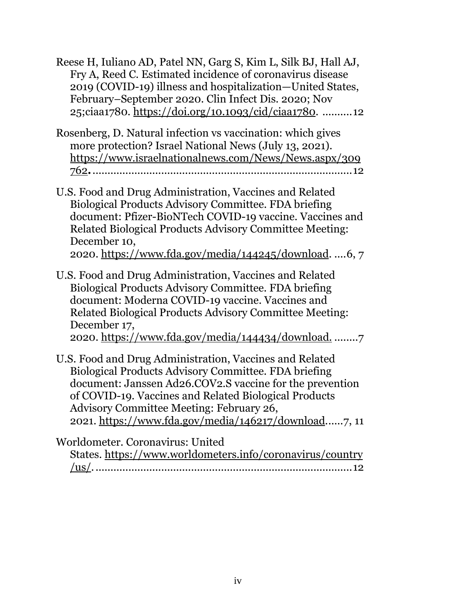Reese H, Iuliano AD, Patel NN, Garg S, Kim L, Silk BJ, Hall AJ, Fry A, Reed C. Estimated incidence of coronavirus disease 2019 (COVID-19) illness and hospitalization—United States, February–September 2020. Clin Infect Dis. 2020; Nov 25;ciaa1780. [https://doi.org/10.1093/cid/ciaa1780.](https://doi.org/10.1093/cid/ciaa1780) ..........12

- Rosenberg, D. Natural infection vs vaccination: which gives more protection? Israel National News (July 13, 2021). [https://www.israelnationalnews.com/News/News.aspx/309](https://www.israelnationalnews.com/News/News.aspx/309762) [762](https://www.israelnationalnews.com/News/News.aspx/309762)**.**.......................................................................................12
- U.S. Food and Drug Administration, Vaccines and Related Biological Products Advisory Committee. FDA briefing document: Pfizer-BioNTech COVID-19 vaccine. Vaccines and Related Biological Products Advisory Committee Meeting: December 10, 2020. [https://www.fda.gov/media/144245/download.](https://www.fda.gov/media/144245/download) ....6, 7

U.S. Food and Drug Administration, Vaccines and Related Biological Products Advisory Committee. FDA briefing document: Moderna COVID-19 vaccine. Vaccines and Related Biological Products Advisory Committee Meeting: December 17, 2020. <https://www.fda.gov/media/144434/download.> ........7

U.S. Food and Drug Administration, Vaccines and Related Biological Products Advisory Committee. FDA briefing document: Janssen Ad26.COV2.S vaccine for the prevention of COVID-19. Vaccines and Related Biological Products Advisory Committee Meeting: February 26, 2021. [https://www.fda.gov/media/146217/download.](https://www.fda.gov/media/146217/download).....7, 11

Worldometer. Coronavirus: United

| States. https://www.worldometers.info/coronavirus/country |  |
|-----------------------------------------------------------|--|
|                                                           |  |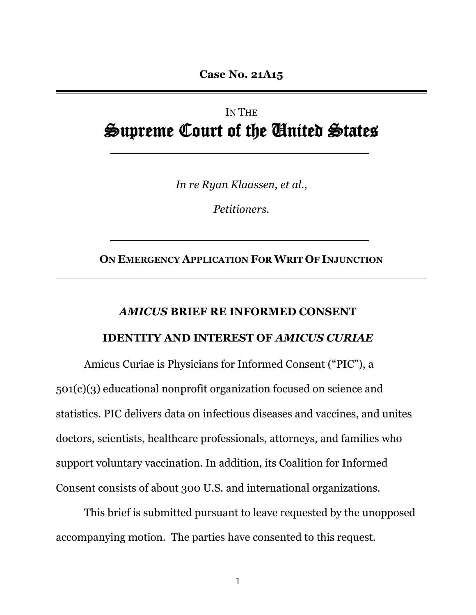**Case No. 21A15**

## IN THE Supreme Court of the United States

*In re Ryan Klaassen, et al*.,

*Petitioners*.

**ON EMERGENCY APPLICATION FOR WRIT OF INJUNCTION**

# *AMICUS* **BRIEF RE INFORMED CONSENT**

#### **IDENTITY AND INTEREST OF** *AMICUS CURIAE*

<span id="page-7-0"></span>Amicus Curiae is Physicians for Informed Consent ("PIC"), a 501(c)(3) educational nonprofit organization focused on science and statistics. PIC delivers data on infectious diseases and vaccines, and unites doctors, scientists, healthcare professionals, attorneys, and families who support voluntary vaccination. In addition, its Coalition for Informed Consent consists of about 300 U.S. and international organizations.

This brief is submitted pursuant to leave requested by the unopposed accompanying motion. The parties have consented to this request.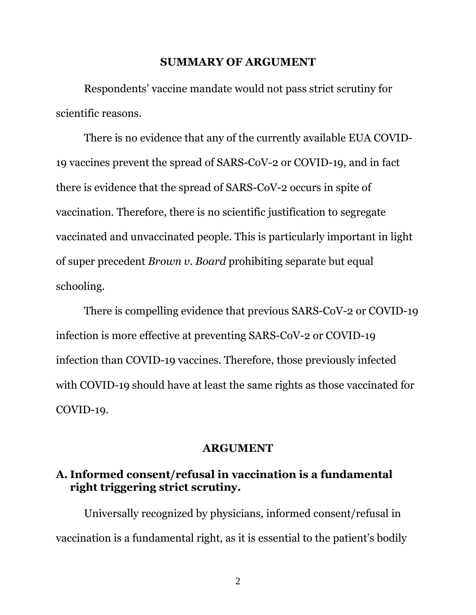#### **SUMMARY OF ARGUMENT**

<span id="page-8-0"></span>Respondents' vaccine mandate would not pass strict scrutiny for scientific reasons.

There is no evidence that any of the currently available EUA COVID-19 vaccines prevent the spread of SARS-CoV-2 or COVID-19, and in fact there is evidence that the spread of SARS-CoV-2 occurs in spite of vaccination. Therefore, there is no scientific justification to segregate vaccinated and unvaccinated people. This is particularly important in light of super precedent *Brown v. Board* prohibiting separate but equal schooling.

There is compelling evidence that previous SARS-CoV-2 or COVID-19 infection is more effective at preventing SARS-CoV-2 or COVID-19 infection than COVID-19 vaccines. Therefore, those previously infected with COVID-19 should have at least the same rights as those vaccinated for COVID-19.

#### **ARGUMENT**

#### <span id="page-8-2"></span><span id="page-8-1"></span>**A. Informed consent/refusal in vaccination is a fundamental right triggering strict scrutiny.**

Universally recognized by physicians, informed consent/refusal in vaccination is a fundamental right, as it is essential to the patient's bodily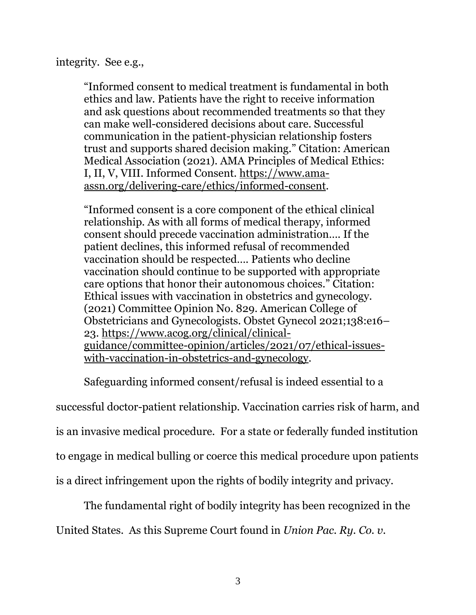integrity. See e.g.,

"Informed consent to medical treatment is fundamental in both ethics and law. Patients have the right to receive information and ask questions about recommended treatments so that they can make well-considered decisions about care. Successful communication in the patient-physician relationship fosters trust and supports shared decision making." Citation: American Medical Association (2021). AMA Principles of Medical Ethics: I, II, V, VIII. Informed Consent. [https://www.ama](https://www.ama-assn.org/delivering-care/ethics/informed-consent)[assn.org/delivering-care/ethics/informed-consent.](https://www.ama-assn.org/delivering-care/ethics/informed-consent)

"Informed consent is a core component of the ethical clinical relationship. As with all forms of medical therapy, informed consent should precede vaccination administration…. If the patient declines, this informed refusal of recommended vaccination should be respected…. Patients who decline vaccination should continue to be supported with appropriate care options that honor their autonomous choices." Citation: Ethical issues with vaccination in obstetrics and gynecology. (2021) Committee Opinion No. 829. American College of Obstetricians and Gynecologists. Obstet Gynecol 2021;138:e16– 23. [https://www.acog.org/clinical/clinical](https://www.acog.org/clinical/clinical-guidance/committee-opinion/articles/2021/07/ethical-issues-with-vaccination-in-obstetrics-and-gynecology)[guidance/committee-opinion/articles/2021/07/ethical-issues](https://www.acog.org/clinical/clinical-guidance/committee-opinion/articles/2021/07/ethical-issues-with-vaccination-in-obstetrics-and-gynecology)[with-vaccination-in-obstetrics-and-gynecology.](https://www.acog.org/clinical/clinical-guidance/committee-opinion/articles/2021/07/ethical-issues-with-vaccination-in-obstetrics-and-gynecology)

Safeguarding informed consent/refusal is indeed essential to a successful doctor-patient relationship. Vaccination carries risk of harm, and is an invasive medical procedure. For a state or federally funded institution to engage in medical bulling or coerce this medical procedure upon patients is a direct infringement upon the rights of bodily integrity and privacy.

The fundamental right of bodily integrity has been recognized in the

United States. As this Supreme Court found in *Union Pac. Ry. Co. v.*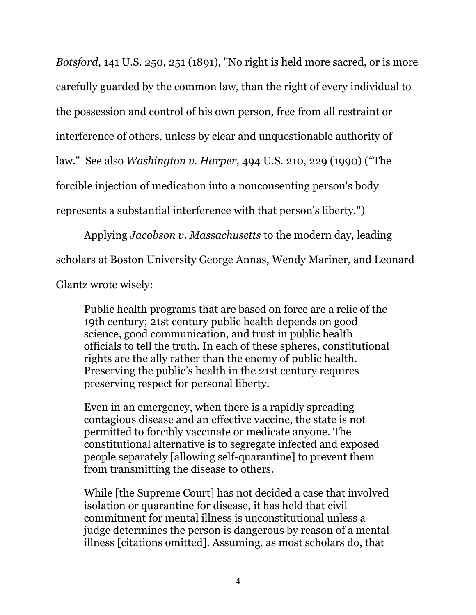*Botsford*, 141 U.S. 250, 251 (1891), "No right is held more sacred, or is more carefully guarded by the common law, than the right of every individual to the possession and control of his own person, free from all restraint or interference of others, unless by clear and unquestionable authority of law." See also *Washington v. Harper,* 494 U.S. 210, 229 (1990) ("The forcible injection of medication into a nonconsenting person's body represents a substantial interference with that person's liberty.")

Applying *Jacobson v. Massachusetts* to the modern day, leading scholars at Boston University George Annas, Wendy Mariner, and Leonard Glantz wrote wisely:

Public health programs that are based on force are a relic of the 19th century; 21st century public health depends on good science, good communication, and trust in public health officials to tell the truth. In each of these spheres, constitutional rights are the ally rather than the enemy of public health. Preserving the public's health in the 21st century requires preserving respect for personal liberty.

Even in an emergency, when there is a rapidly spreading contagious disease and an effective vaccine, the state is not permitted to forcibly vaccinate or medicate anyone. The constitutional alternative is to segregate infected and exposed people separately [allowing self-quarantine] to prevent them from transmitting the disease to others.

While [the Supreme Court] has not decided a case that involved isolation or quarantine for disease, it has held that civil commitment for mental illness is unconstitutional unless a judge determines the person is dangerous by reason of a mental illness [citations omitted]. Assuming, as most scholars do, that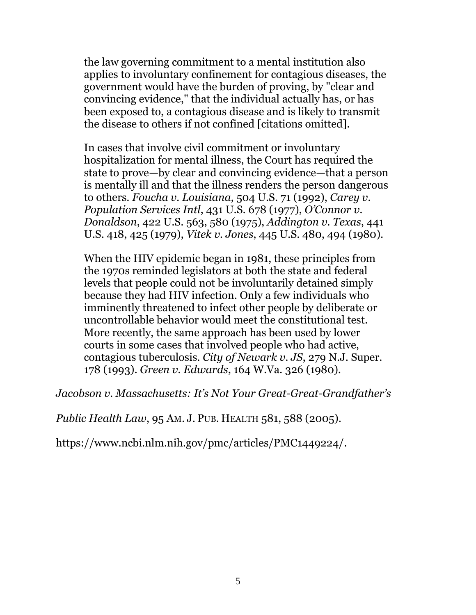the law governing commitment to a mental institution also applies to involuntary confinement for contagious diseases, the government would have the burden of proving, by "clear and convincing evidence," that the individual actually has, or has been exposed to, a contagious disease and is likely to transmit the disease to others if not confined [citations omitted].

In cases that involve civil commitment or involuntary hospitalization for mental illness, the Court has required the state to prove—by clear and convincing evidence—that a person is mentally ill and that the illness renders the person dangerous to others. *Foucha v. Louisiana*, 504 U.S. 71 (1992), *Carey v. Population Services Intl*, 431 U.S. 678 (1977), *O'Connor v. Donaldson*, 422 U.S. 563, 580 (1975), *Addington v. Texas*, 441 U.S. 418, 425 (1979), *Vitek v. Jones*, 445 U.S. 480, 494 (1980).

When the HIV epidemic began in 1981, these principles from the 1970s reminded legislators at both the state and federal levels that people could not be involuntarily detained simply because they had HIV infection. Only a few individuals who imminently threatened to infect other people by deliberate or uncontrollable behavior would meet the constitutional test. More recently, the same approach has been used by lower courts in some cases that involved people who had active, contagious tuberculosis. *City of Newark v. JS*, 279 N.J. Super. 178 (1993). *Green v. Edwards*, 164 W.Va. 326 (1980).

*Jacobson v. Massachusetts: It's Not Your Great-Great-Grandfather's* 

*Public Health Law*, 95 AM. J. PUB. HEALTH 581, 588 (2005).

[https://www.ncbi.nlm.nih.gov/pmc/articles/PMC1449224/.](https://www.ncbi.nlm.nih.gov/pmc/articles/PMC1449224/)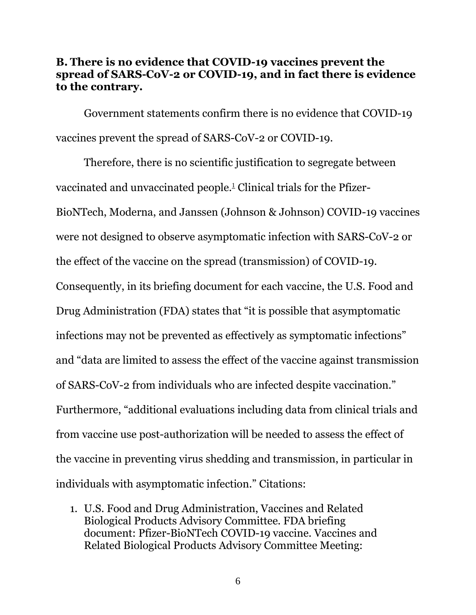#### <span id="page-12-0"></span>**B. There is no evidence that COVID-19 vaccines prevent the spread of SARS-CoV-2 or COVID-19, and in fact there is evidence to the contrary.**

Government statements confirm there is no evidence that COVID-19 vaccines prevent the spread of SARS-CoV-2 or COVID-19.

Therefore, there is no scientific justification to segregate between vaccinated and unvaccinated people. <sup>1</sup> Clinical trials for the Pfizer-BioNTech, Moderna, and Janssen (Johnson & Johnson) COVID-19 vaccines were not designed to observe asymptomatic infection with SARS-CoV-2 or the effect of the vaccine on the spread (transmission) of COVID-19. Consequently, in its briefing document for each vaccine, the U.S. Food and Drug Administration (FDA) states that "it is possible that asymptomatic infections may not be prevented as effectively as symptomatic infections" and "data are limited to assess the effect of the vaccine against transmission of SARS-CoV-2 from individuals who are infected despite vaccination." Furthermore, "additional evaluations including data from clinical trials and from vaccine use post-authorization will be needed to assess the effect of the vaccine in preventing virus shedding and transmission, in particular in individuals with asymptomatic infection." Citations:

1. U.S. Food and Drug Administration, Vaccines and Related Biological Products Advisory Committee. FDA briefing document: Pfizer-BioNTech COVID-19 vaccine. Vaccines and Related Biological Products Advisory Committee Meeting: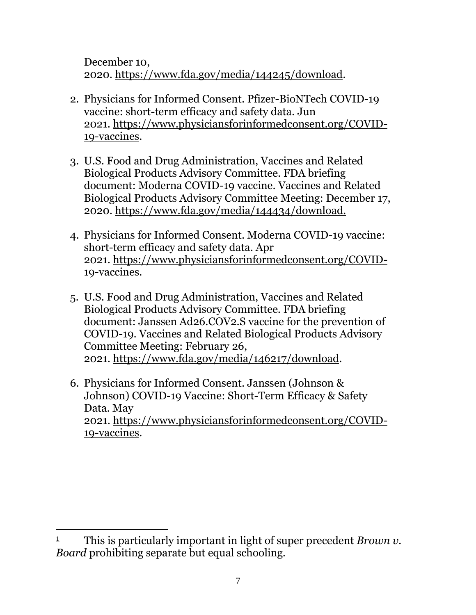December 10, 2020. [https://www.fda.gov/media/144245/download.](https://www.fda.gov/media/144245/download)

- 2. Physicians for Informed Consent. Pfizer-BioNTech COVID-19 vaccine: short-term efficacy and safety data. Jun 2021. [https://www.physiciansforinformedconsent.org/COVID-](https://www.physiciansforinformedconsent.org/COVID-19-vaccines)[19-vaccines.](https://www.physiciansforinformedconsent.org/COVID-19-vaccines)
- 3. U.S. Food and Drug Administration, Vaccines and Related Biological Products Advisory Committee. FDA briefing document: Moderna COVID-19 vaccine. Vaccines and Related Biological Products Advisory Committee Meeting: December 17, 2020. <https://www.fda.gov/media/144434/download.>
- 4. Physicians for Informed Consent. Moderna COVID-19 vaccine: short-term efficacy and safety data. Apr 2021. [https://www.physiciansforinformedconsent.org/COVID-](https://www.physiciansforinformedconsent.org/COVID-19-vaccines)[19-vaccines.](https://www.physiciansforinformedconsent.org/COVID-19-vaccines)
- 5. U.S. Food and Drug Administration, Vaccines and Related Biological Products Advisory Committee. FDA briefing document: Janssen Ad26.COV2.S vaccine for the prevention of COVID-19. Vaccines and Related Biological Products Advisory Committee Meeting: February 26, 2021. [https://www.fda.gov/media/146217/download.](https://www.fda.gov/media/146217/download)
- 6. Physicians for Informed Consent. Janssen (Johnson & Johnson) COVID-19 Vaccine: Short-Term Efficacy & Safety Data. May 2021. [https://www.physiciansforinformedconsent.org/COVID-](https://www.physiciansforinformedconsent.org/COVID-19-vaccines)[19-vaccines.](https://www.physiciansforinformedconsent.org/COVID-19-vaccines)

<sup>1</sup> This is particularly important in light of super precedent *Brown v. Board* prohibiting separate but equal schooling.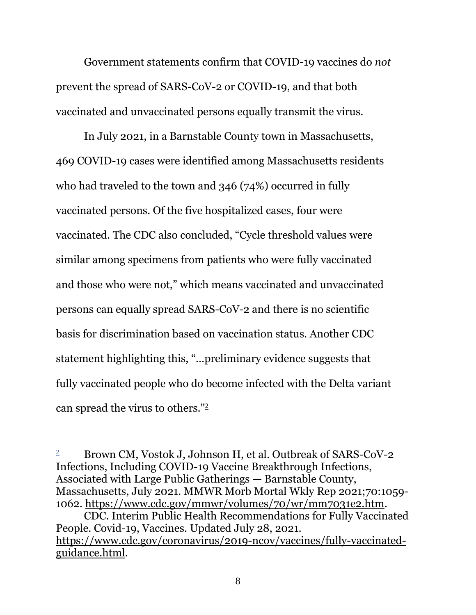Government statements confirm that COVID-19 vaccines do *not* prevent the spread of SARS-CoV-2 or COVID-19, and that both vaccinated and unvaccinated persons equally transmit the virus.

In July 2021, in a Barnstable County town in Massachusetts, 469 COVID-19 cases were identified among Massachusetts residents who had traveled to the town and 346 (74%) occurred in fully vaccinated persons. Of the five hospitalized cases, four were vaccinated. The CDC also concluded, "Cycle threshold values were similar among specimens from patients who were fully vaccinated and those who were not," which means vaccinated and unvaccinated persons can equally spread SARS-CoV-2 and there is no scientific basis for discrimination based on vaccination status. Another CDC statement highlighting this, "…preliminary evidence suggests that fully vaccinated people who do become infected with the Delta variant can spread the virus to others."<sup>2</sup>

<sup>2</sup> Brown CM, Vostok J, Johnson H, et al. Outbreak of SARS-CoV-2 Infections, Including COVID-19 Vaccine Breakthrough Infections, Associated with Large Public Gatherings — Barnstable County, Massachusetts, July 2021. MMWR Morb Mortal Wkly Rep 2021;70:1059- 1062. [https://www.cdc.gov/mmwr/volumes/70/wr/mm7031e2.htm.](https://www.cdc.gov/mmwr/volumes/70/wr/mm7031e2.htm)

CDC. Interim Public Health Recommendations for Fully Vaccinated People. Covid-19, Vaccines. Updated July 28, 2021. [https://www.cdc.gov/coronavirus/2019-ncov/vaccines/fully-vaccinated](https://www.cdc.gov/coronavirus/2019-ncov/vaccines/fully-vaccinated-guidance.html)[guidance.html.](https://www.cdc.gov/coronavirus/2019-ncov/vaccines/fully-vaccinated-guidance.html)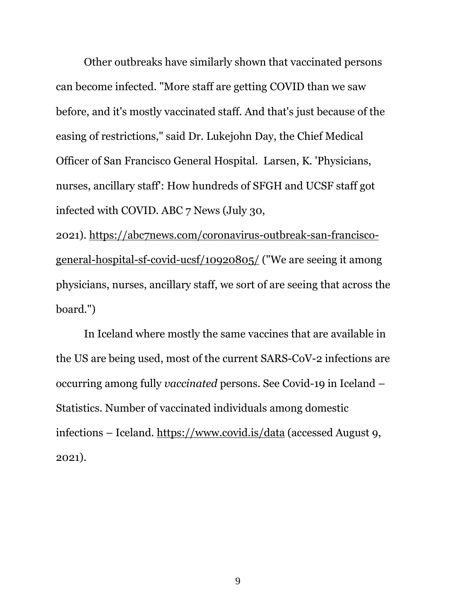Other outbreaks have similarly shown that vaccinated persons can become infected. "More staff are getting COVID than we saw before, and it's mostly vaccinated staff. And that's just because of the easing of restrictions," said Dr. Lukejohn Day, the Chief Medical Officer of San Francisco General Hospital. Larsen, K. 'Physicians, nurses, ancillary staff': How hundreds of SFGH and UCSF staff got infected with COVID. ABC 7 News (July 30,

2021). [https://abc7news.com/coronavirus-outbreak-san-francisco](https://abc7news.com/coronavirus-outbreak-san-francisco-general-hospital-sf-covid-ucsf/10920805/)[general-hospital-sf-covid-ucsf/10920805/](https://abc7news.com/coronavirus-outbreak-san-francisco-general-hospital-sf-covid-ucsf/10920805/) ("We are seeing it among physicians, nurses, ancillary staff, we sort of are seeing that across the board.")

In Iceland where mostly the same vaccines that are available in the US are being used, most of the current SARS-CoV-2 infections are occurring among fully *vaccinated* persons. See Covid-19 in Iceland – Statistics. Number of vaccinated individuals among domestic infections – Iceland.<https://www.covid.is/data> (accessed August 9, 2021).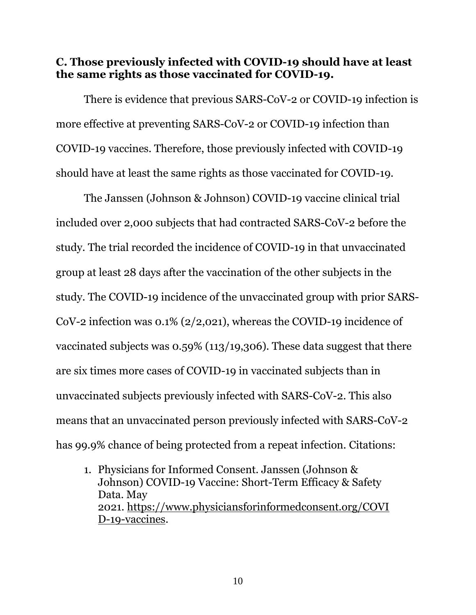#### <span id="page-16-0"></span>**C. Those previously infected with COVID-19 should have at least the same rights as those vaccinated for COVID-19.**

There is evidence that previous SARS-CoV-2 or COVID-19 infection is more effective at preventing SARS-CoV-2 or COVID-19 infection than COVID-19 vaccines. Therefore, those previously infected with COVID-19 should have at least the same rights as those vaccinated for COVID-19.

The Janssen (Johnson & Johnson) COVID-19 vaccine clinical trial included over 2,000 subjects that had contracted SARS-CoV-2 before the study. The trial recorded the incidence of COVID-19 in that unvaccinated group at least 28 days after the vaccination of the other subjects in the study. The COVID-19 incidence of the unvaccinated group with prior SARS-CoV-2 infection was 0.1% (2/2,021), whereas the COVID-19 incidence of vaccinated subjects was 0.59% (113/19,306). These data suggest that there are six times more cases of COVID-19 in vaccinated subjects than in unvaccinated subjects previously infected with SARS-CoV-2. This also means that an unvaccinated person previously infected with SARS-CoV-2 has 99.9% chance of being protected from a repeat infection. Citations:

1. Physicians for Informed Consent. Janssen (Johnson & Johnson) COVID-19 Vaccine: Short-Term Efficacy & Safety Data. May 2021. [https://www.physiciansforinformedconsent.org/COVI](https://www.physiciansforinformedconsent.org/COVID-19-vaccines) [D-19-vaccines.](https://www.physiciansforinformedconsent.org/COVID-19-vaccines)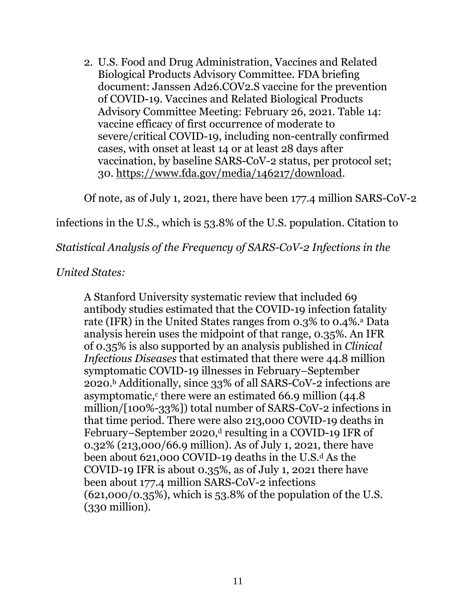2. U.S. Food and Drug Administration, Vaccines and Related Biological Products Advisory Committee. FDA briefing document: Janssen Ad26.COV2.S vaccine for the prevention of COVID-19. Vaccines and Related Biological Products Advisory Committee Meeting: February 26, 2021. Table 14: vaccine efficacy of first occurrence of moderate to severe/critical COVID-19, including non-centrally confirmed cases, with onset at least 14 or at least 28 days after vaccination, by baseline SARS-CoV-2 status, per protocol set; 30. [https://www.fda.gov/media/146217/download.](https://www.fda.gov/media/146217/download)

Of note, as of July 1, 2021, there have been 177.4 million SARS-CoV-2

#### infections in the U.S., which is 53.8% of the U.S. population. Citation to

#### *Statistical Analysis of the Frequency of SARS-CoV-2 Infections in the*

#### *United States:*

A Stanford University systematic review that included 69 antibody studies estimated that the COVID-19 infection fatality rate (IFR) in the United States ranges from 0.3% to 0.4%.<sup>a</sup> Data analysis herein uses the midpoint of that range, 0.35%. An IFR of 0.35% is also supported by an analysis published in *Clinical Infectious Diseases* that estimated that there were 44.8 million symptomatic COVID-19 illnesses in February–September 2020.<sup>b</sup> Additionally, since 33% of all SARS-CoV-2 infections are asymptomatic, $\epsilon$  there were an estimated 66.9 million (44.8) million/[100%-33%]) total number of SARS-CoV-2 infections in that time period. There were also 213,000 COVID-19 deaths in February–September 2020,<sup>d</sup> resulting in a COVID-19 IFR of 0.32% (213,000/66.9 million). As of July 1, 2021, there have been about 621,000 COVID-19 deaths in the U.S. $d$  As the COVID-19 IFR is about 0.35%, as of July 1, 2021 there have been about 177.4 million SARS-CoV-2 infections (621,000/0.35%), which is 53.8% of the population of the U.S. (330 million).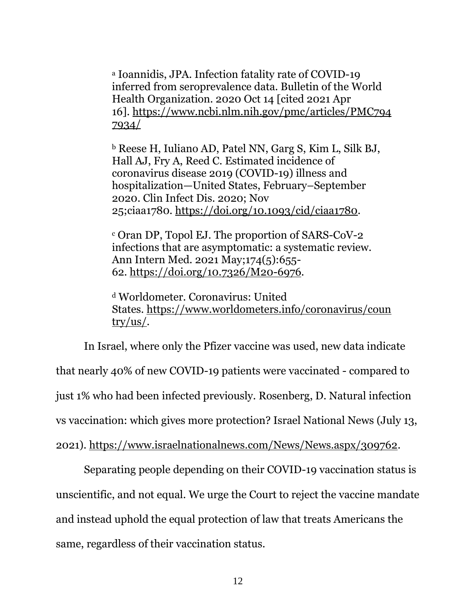<sup>a</sup> Ioannidis, JPA. Infection fatality rate of COVID-19 inferred from seroprevalence data. Bulletin of the World Health Organization. 2020 Oct 14 [cited 2021 Apr 16]. [https://www.ncbi.nlm.nih.gov/pmc/articles/PMC794](https://www.ncbi.nlm.nih.gov/pmc/articles/PMC7947934/) [7934/](https://www.ncbi.nlm.nih.gov/pmc/articles/PMC7947934/)

<sup>b</sup> Reese H, Iuliano AD, Patel NN, Garg S, Kim L, Silk BJ, Hall AJ, Fry A, Reed C. Estimated incidence of coronavirus disease 2019 (COVID-19) illness and hospitalization—United States, February–September 2020. Clin Infect Dis. 2020; Nov 25;ciaa1780. [https://doi.org/10.1093/cid/ciaa1780.](https://doi.org/10.1093/cid/ciaa1780)

<sup>c</sup> Oran DP, Topol EJ. The proportion of SARS-CoV-2 infections that are asymptomatic: a systematic review. Ann Intern Med. 2021 May;174(5):655- 62. [https://doi.org/10.7326/M20-6976.](https://doi.org/10.7326/M20-6976)

<sup>d</sup> Worldometer. Coronavirus: United States. [https://www.worldometers.info/coronavirus/coun](https://www.worldometers.info/coronavirus/country/us/) [try/us/.](https://www.worldometers.info/coronavirus/country/us/)

In Israel, where only the Pfizer vaccine was used, new data indicate that nearly 40% of new COVID-19 patients were vaccinated - compared to just 1% who had been infected previously. Rosenberg, D. Natural infection vs vaccination: which gives more protection? Israel National News (July 13, 2021). [https://www.israelnationalnews.com/News/News.aspx/309762.](https://www.israelnationalnews.com/News/News.aspx/309762)

Separating people depending on their COVID-19 vaccination status is unscientific, and not equal. We urge the Court to reject the vaccine mandate and instead uphold the equal protection of law that treats Americans the same, regardless of their vaccination status.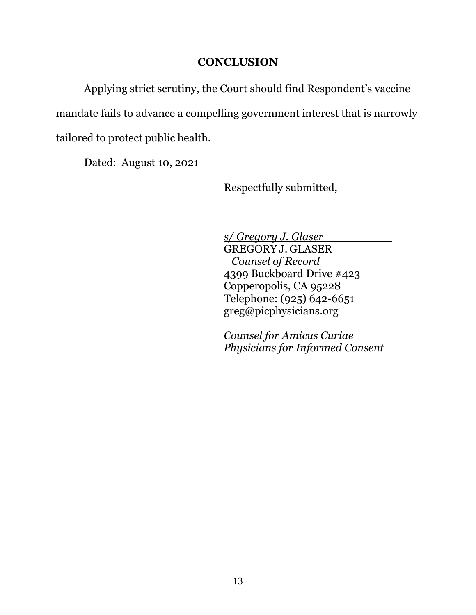#### **CONCLUSION**

<span id="page-19-0"></span>Applying strict scrutiny, the Court should find Respondent's vaccine

mandate fails to advance a compelling government interest that is narrowly

tailored to protect public health.

Dated: August 10, 2021

Respectfully submitted,

*s/ Gregory J. Glaser*

GREGORY J. GLASER *Counsel of Record* 4399 Buckboard Drive #423 Copperopolis, CA 95228 Telephone: (925) 642-6651 greg@picphysicians.org